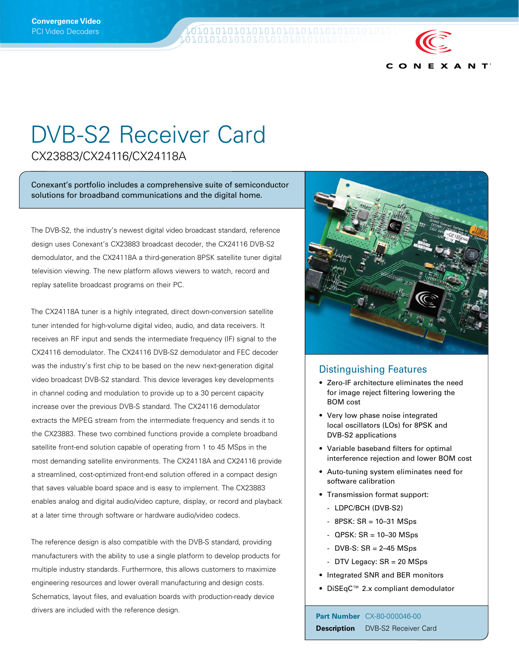**Q70707070707070707070707070707070** 



## DVB-S2 Receiver Card

CX23883/CX24116/CX24118A

Conexant's portfolio includes a comprehensive suite of semiconductor solutions for broadband communications and the digital home.

The DVB-S2, the industry's newest digital video broadcast standard, reference design uses Conexant's CX23883 broadcast decoder, the CX24116 DVB-S2 demodulator, and the CX24118A a third-generation 8PSK satellite tuner digital television viewing. The new platform allows viewers to watch, record and replay satellite broadcast programs on their PC.

The CX24118A tuner is a highly integrated, direct down-conversion satellite tuner intended for high-volume digital video, audio, and data receivers. It receives an RF input and sends the intermediate frequency (IF) signal to the CX24116 demodulator. The CX24116 DVB-S2 demodulator and FEC decoder was the industry's first chip to be based on the new next-generation digital video broadcast DVB-S2 standard. This device leverages key developments in channel coding and modulation to provide up to a 30 percent capacity increase over the previous DVB-S standard. The CX24116 demodulator extracts the MPEG stream from the intermediate frequency and sends it to the CX23883. These two combined functions provide a complete broadband satellite front-end solution capable of operating from 1 to 45 MSps in the most demanding satellite environments. The CX24118A and CX24116 provide a streamlined, cost-optimized front-end solution offered in a compact design that saves valuable board space and is easy to implement. The CX23883 enables analog and digital audio/video capture, display, or record and playback at a later time through software or hardware audio/video codecs.

The reference design is also compatible with the DVB-S standard, providing manufacturers with the ability to use a single platform to develop products for multiple industry standards. Furthermore, this allows customers to maximize engineering resources and lower overall manufacturing and design costs. Schematics, layout files, and evaluation boards with production-ready device drivers are included with the reference design. **Part Number** CX-80-000046-00



## Distinguishing Features

- Zero-IF architecture eliminates the need for image reject filtering lowering the BOM cost
- Very low phase noise integrated local oscillators (LOs) for 8PSK and DVB-S2 applications
- Variable baseband filters for optimal interference rejection and lower BOM cost
- Auto-tuning system eliminates need for software calibration
- Transmission format support:
	- LDPC/BCH (DVB-S2)
	- $-$  8PSK: SR = 10-31 MSps
	- $-$  QPSK: SR = 10–30 MSps
	- $-$  DVB-S: SR = 2–45 MSps
	- DTV Legacy: SR = 20 MSps
- Integrated SNR and BER monitors
- DiSEqC™ 2.x compliant demodulator

**Description** DVB-S2 Receiver Card